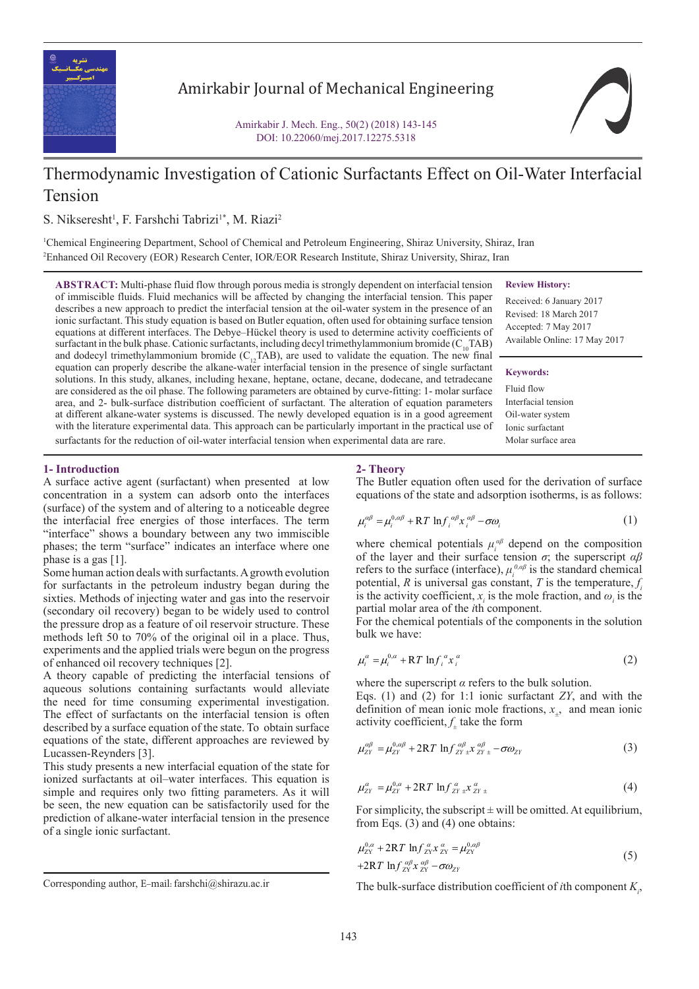

## Amirkabir Journal of Mechanical Engineering

Amirkabir J. Mech. Eng., 50(2) (2018) 143-145 DOI: 10.22060/mej.2017.12275.5318



# Thermodynamic Investigation of Cationic Surfactants Effect on Oil-Water Interfacial Tension

S. Nikseresht<sup>1</sup>, F. Farshchi Tabrizi<sup>1\*</sup>, M. Riazi<sup>2</sup>

1 Chemical Engineering Department, School of Chemical and Petroleum Engineering, Shiraz University, Shiraz, Iran 2 Enhanced Oil Recovery (EOR) Research Center, IOR/EOR Research Institute, Shiraz University, Shiraz, Iran

**ABSTRACT:** Multi-phase fluid flow through porous media is strongly dependent on interfacial tension of immiscible fluids. Fluid mechanics will be affected by changing the interfacial tension. This paper describes a new approach to predict the interfacial tension at the oil-water system in the presence of an ionic surfactant. This study equation is based on Butler equation, often used for obtaining surface tension equations at different interfaces. The Debye–Hückel theory is used to determine activity coefficients of surfactant in the bulk phase. Cationic surfactants, including decyl trimethylammonium bromide ( $C_{10}TAB$ ) and dodecyl trimethylammonium bromide ( $C_{12}$ TAB), are used to validate the equation. The new final equation can properly describe the alkane-water interfacial tension in the presence of single surfactant solutions. In this study, alkanes, including hexane, heptane, octane, decane, dodecane, and tetradecane are considered as the oil phase. The following parameters are obtained by curve-fitting: 1- molar surface area, and 2- bulk-surface distribution coefficient of surfactant. The alteration of equation parameters at different alkane-water systems is discussed. The newly developed equation is in a good agreement with the literature experimental data. This approach can be particularly important in the practical use of surfactants for the reduction of oil-water interfacial tension when experimental data are rare.

**Review History:**

Received: 6 January 2017 Revised: 18 March 2017 Accepted: 7 May 2017 Available Online: 17 May 2017

#### **Keywords:**

Fluid flow Interfacial tension Oil-water system Ionic surfactant Molar surface area

#### **1- Introduction**

A surface active agent (surfactant) when presented at low concentration in a system can adsorb onto the interfaces (surface) of the system and of altering to a noticeable degree the interfacial free energies of those interfaces. The term "interface" shows a boundary between any two immiscible phases; the term "surface" indicates an interface where one phase is a gas [1].

Some human action deals with surfactants. A growth evolution for surfactants in the petroleum industry began during the sixties. Methods of injecting water and gas into the reservoir (secondary oil recovery) began to be widely used to control the pressure drop as a feature of oil reservoir structure. These methods left 50 to 70% of the original oil in a place. Thus, experiments and the applied trials were begun on the progress of enhanced oil recovery techniques [2].

A theory capable of predicting the interfacial tensions of aqueous solutions containing surfactants would alleviate the need for time consuming experimental investigation. The effect of surfactants on the interfacial tension is often described by a surface equation of the state. To obtain surface equations of the state, different approaches are reviewed by Lucassen-Reynders [3].

This study presents a new interfacial equation of the state for ionized surfactants at oil–water interfaces. This equation is simple and requires only two fitting parameters. As it will be seen, the new equation can be satisfactorily used for the prediction of alkane-water interfacial tension in the presence of a single ionic surfactant.

#### **2- Theory**

The Butler equation often used for the derivation of surface equations of the state and adsorption isotherms, is as follows:

$$
\mu_i^{\alpha\beta} = \mu_i^{0,\alpha\beta} + RT \ln f_i^{\alpha\beta} x_i^{\alpha\beta} - \sigma \omega_i
$$
 (1)

of the layer and their surface tension *σ*; the superscript *αβ* potential, *R* is universal gas constant, *T* is the temperature,  $f_i$ potential, *R* is directed gas constant, *Y* is the temperature,  $y_i$  is the activity coefficient,  $x_i$  is the mole fraction, and  $\omega_i$  is the where chemical potentials  $\mu_i^{\alpha\beta}$  depend on the composition refers to the surface (interface),  $\mu_i^{\rho, \alpha\beta}$  is the standard chemical partial molar area of the *i*th component.

For the chemical potentials of the components in the solution bulk we have:

$$
\mu_i^{\alpha} = \mu_i^{0,\alpha} + RT \ln f_i^{\alpha} x_i^{\alpha} \tag{2}
$$

where the superscript  $\alpha$  refers to the bulk solution.

definition of mean ionic mole fractions,  $x_+$ , and mean ionic definition of mean ionic mole fract<br>activity coefficient,  $f_{\pm}$  take the form Eqs. (1) and (2) for 1:1 ionic surfactant  $ZY$ , and with the

$$
\mu_{ZY}^{\alpha\beta} = \mu_{ZY}^{0,\alpha\beta} + 2RT \ln f_{ZY\pm}^{\alpha\beta} x_{ZY\pm}^{\alpha\beta} - \sigma \omega_{ZY}
$$
 (3)

$$
\mu_{ZY}^{\alpha} = \mu_{ZY}^{0,\alpha} + 2RT \ln f_{ZY\pm}^{\alpha} x_{ZY\pm}^{\alpha}
$$
 (4)

 $\lim_{x \to \infty} F(x, y) = \lim_{x \to \infty} F(x, y)$ *For simplicity, the subscript*  $\pm$  will be omitted. At equilibrium, *For simplicity, the subscript*  $\pm$  will<br>from Eqs. (3) and (4) one obtains: αβ αβ

$$
\mu_{2Y}^{0,a} + 2RT \ln f_{2Y}^{\alpha} x_{2Y}^{\alpha} = \mu_{2Y}^{0,a\beta}
$$
\n
$$
+ 2RT \ln f_{2Y}^{\alpha} x_{2Y}^{\alpha} = \mu_{2Y}^{0,a\beta}
$$
\n
$$
+ 2RT \ln f_{2Y}^{\alpha\beta} x_{2Y}^{\alpha\beta} - \sigma \omega_{2Y}
$$
\n
$$
= \text{Corresponding author, E-mail: farshchi@shirazu.ac.it}
$$
\nThe bulk-surface distribution coefficient of *i*th component *K*<sub>1</sub>,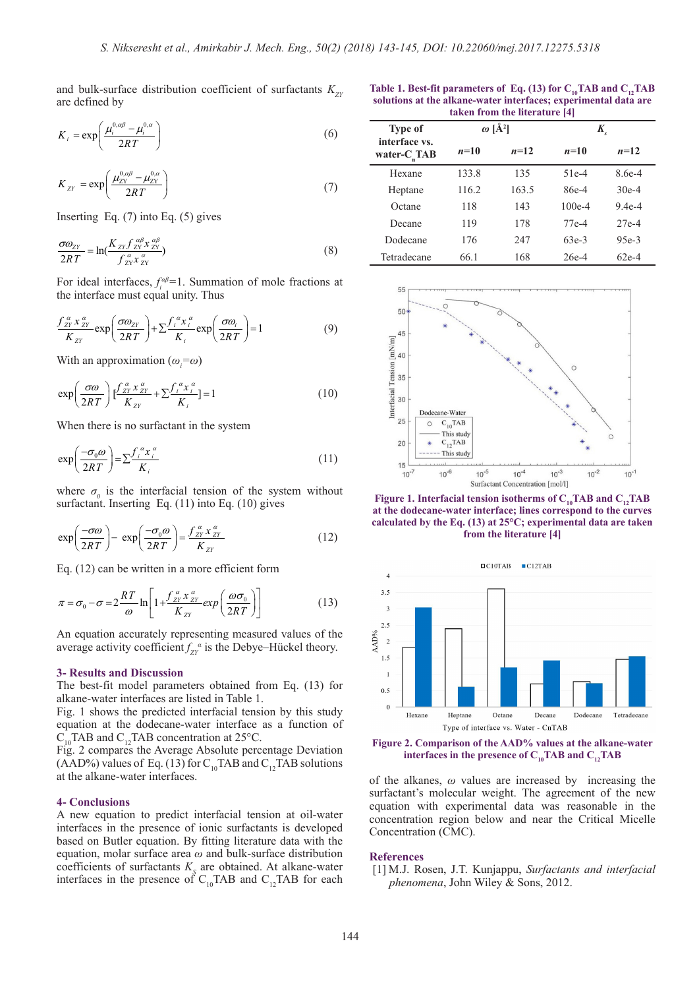and bulk-surface distribution coefficient of surfactants  $K_{ZY}$ are defined by *e* defined by and bulk-surface distribution coef  $\frac{2}{3}$ 

$$
K_i = \exp\left(\frac{\mu_i^{0,\alpha\beta} - \mu_i^{0,\alpha}}{2RT}\right)
$$
 (6)

$$
K_{ZY} = \exp\left(\frac{\mu_{ZY}^{0,\alpha\beta} - \mu_{ZY}^{0,\alpha}}{2RT}\right) \tag{7}
$$

*Kfx* Inserting Eq. (7) into Eq. (5) gives<br>  $\pi \omega$  *K*  $f^{a\beta} x^{a\beta}$ ZY ZY *i Inserting Eq. (7) into* 

$$
\frac{\sigma \omega_{ZY}}{2RT} = \ln(\frac{K_{ZY} f_{ZY}^{\alpha\beta} x_{ZY}^{\alpha\beta}}{f_{ZY}^{\alpha} x_{ZY}^{\alpha}})
$$
\n
$$
\text{For ideal interfaces, } f_{i}^{\alpha\beta} = 1. \text{ Summation of mole fractions a}
$$

For ideal interfaces,  $f_i^{\alpha\beta}$ =1. Summation of mole fractions at the interface must equal unity. Thus *RT f x* .<br>For ide: deal interfaces,  $f_i^{\alpha\beta}$ <br>terface must equal  $\frac{1}{2}$ 

Inserting Eq. (7) into Eq. (5) gives  
\n
$$
\frac{\sigma \omega_{ZY}}{2RT} = \ln(\frac{K_{ZY} f_{ZY}^{\alpha \beta} x_{ZY}^{\alpha \beta}}{f_{ZY}^{\alpha} x_{ZY}^{\alpha}})
$$
\nFor ideal interfaces,  $f_{i}^{\alpha \beta} = 1$ . Summation of mole fractions a  
\nthe interface must equal unity. Thus  
\n
$$
\frac{f_{ZY}^{\alpha} x_{ZY}^{\alpha}}{K_{ZY}} \exp\left(\frac{\sigma \omega_{ZY}}{2RT}\right) + \sum \frac{f_{i}^{\alpha} x_{i}^{\alpha}}{K_{i}} \exp\left(\frac{\sigma \omega_{i}}{2RT}\right) = 1
$$
\nWith an approximation ( $\omega_{i} = \omega$ )  
\nwith an approximation ( $\omega_{i} = \omega$ )  
\n
$$
\exp\left(\frac{\sigma \omega}{2RT}\right) \left[\frac{f_{ZY}^{\alpha} x_{ZY}^{\alpha}}{K_{ZY}} + \sum \frac{f_{i}^{\alpha} x_{i}^{\alpha}}{K_{i}}\right] = 1
$$
\n(10)  
\nWhen there is no surfactant in the system  
\n
$$
\exp\left(\frac{-\sigma_{0} \omega}{2RT}\right) = \sum \frac{f_{i}^{\alpha} x_{i}^{\alpha}}{K_{i}}
$$
\n(11)  
\nwhere  $\sigma_{0}$  is the interfacial tension of the system without  
\nsurface that Inserting Eq. (11) into Eq. (10) gives

*f x fx* α α αα  $\sum_{i=1}^{n}$ With an approximation  $(\omega_i = \omega)$ 

$$
\exp\left(\frac{\sigma\omega}{2RT}\right)\left[\frac{f_{zy}^{\alpha}x_{zy}^{\alpha}}{K_{zy}} + \sum \frac{f_i^{\alpha}x_i^{\alpha}}{K_i}\right] = 1
$$
\nWhen there is no surfactant in the system

\n
$$
\left(\frac{\sigma}{2RT}\right)^{\alpha} = \frac{e^{i\alpha}x_{zy}^{\alpha}}{K_{zy}}
$$
\n(10)

when there is no standard in the system  
\n
$$
\exp\left(\frac{-\sigma_0 \omega}{2RT}\right) = \sum \frac{f_i^a x_i^a}{K_i}
$$
\n(11)

 $\sigma$ <sub>0</sub> is the interfacial tension of  $\sigma$ <sub>0</sub> is the interfacial tension of tant. Inserting Eq. (11) into Eq. (1) where  $\sigma_{\theta}$  is the interfacial tension of the  $\sigma$ <sub>0</sub> is the interfacial tension of where  $\sigma_0$  is the interfacial tension of the surfactant. Inserting Eq. (11) into Eq. (10) where  $\sigma_{\theta}$  is the interfacial tension of the system factant. Inserting Eq. (11) into Eq. (10) gives  $(2RT)$  K<sub>i</sub><br>where  $\sigma_{\theta}$  is the interfacial tension of the system without<br>surfactant. Inserting Eq. (11) into Eq. (10) gives

0

$$
\exp\left(\frac{-\sigma\omega}{2RT}\right) - \exp\left(\frac{-\sigma_0\omega}{2RT}\right) = \frac{f_{ZY}^a x_{ZY}^a}{K_{ZY}}
$$
\nEq. (12) can be written in a more efficient form

$$
\pi = \sigma_0 - \sigma = 2 \frac{RT}{\omega} \ln \left[ 1 + \frac{f_{ZY}^{\alpha} x_{ZY}^{\alpha}}{K_{ZY}} exp\left(\frac{\omega \sigma_0}{2RT}\right) \right]
$$
(13)

An equation accurately representing measured values of the average activity coefficient  $f_{ZY}^{\alpha}$  is the Debye–Hückel theory.

#### **3- Results and Discussion**

The best-fit model parameters obtained from Eq. (13) for alkane-water interfaces are listed in Table 1.

Fig. 1 shows the predicted interfacial tension by this study equation at the dodecane-water interface as a function of  $C_{10}$ TAB and  $C_{12}$ TAB concentration at 25°C.

Fig. 2 compares the Average Absolute percentage Deviation (AAD%) values of Eq. (13) for C<sub>10</sub>TAB and C<sub>12</sub>TAB solutions at the alkane-water interfaces.

### **4- Conclusions**

A new equation to predict interfacial tension at oil-water interfaces in the presence of ionic surfactants is developed based on Butler equation. By fitting literature data with the equation, molar surface area *ω* and bulk-surface distribution coefficients of surfactants  $K<sub>S</sub>$  are obtained. At alkane-water interfaces in the presence of  $C_{10}$ TAB and  $C_{12}$ TAB for each

Table 1. Best-fit parameters of Eq. (13) for C<sub>10</sub>TAB and C<sub>12</sub>TAB **solutions at the alkane-water interfaces; experimental data are taken from the literature [4]**

| <b>Type of</b><br>interface vs.<br>water- $C_{n}$ TAB | $\omega$ [Å <sup>2</sup> ] |        | $K_{\rm s}$ |          |
|-------------------------------------------------------|----------------------------|--------|-------------|----------|
|                                                       | $n=10$                     | $n=12$ | $n=10$      | $n=12$   |
| Hexane                                                | 133.8                      | 135    | $51e-4$     | $8.6e-4$ |
| Heptane                                               | 116.2                      | 163.5  | 86e-4       | $30e-4$  |
| Octane                                                | 118                        | 143    | $100e-4$    | $9.4e-4$ |
| Decane                                                | 119                        | 178    | 77e-4       | $27e-4$  |
| Dodecane                                              | 176                        | 247    | $63e-3$     | $95e-3$  |
| Tetradecane                                           | 66.1                       | 168    | $26e-4$     | $62e-4$  |



**Figure 1. Interfacial tension isotherms of**  $C_{10}$ **TAB and**  $C_{12}$ **TAB at the dodecane-water interface; lines correspond to the curves calculated by the Eq. (13) at 25°C; experimental data are taken from the literature [4]**



**Figure 2. Comparison of the AAD% values at the alkane-water interfaces in the presence of**  $C_{10}$ **TAB and**  $C_{12}$ **TAB** 

of the alkanes, *ω* values are increased by increasing the surfactant's molecular weight. The agreement of the new equation with experimental data was reasonable in the concentration region below and near the Critical Micelle Concentration (CMC).

#### **References**

[1] M.J. Rosen, J.T. Kunjappu, *Surfactants and interfacial phenomena*, John Wiley & Sons, 2012.